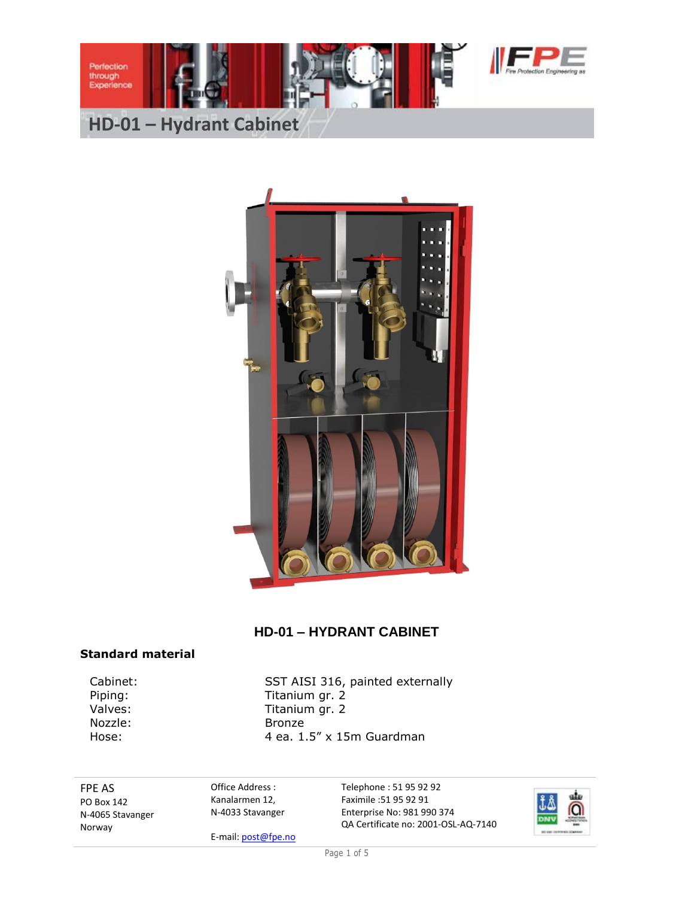



## **HD-01 – HYDRANT CABINET**

#### **Standard material**

Nozzle: Bronze

Cabinet: SST AISI 316, painted externally Piping: Titanium gr. 2 Valves: **Titanium gr. 2** Hose: 4 ea. 1.5" x 15m Guardman

FPE AS PO Box 142 N-4065 Stavanger Norway

Office Address : Kanalarmen 12, N-4033 Stavanger Telephone : 51 95 92 92 Faximile :51 95 92 91 Enterprise No: 981 990 374 QA Certificate no: 2001-OSL-AQ-7140



E-mail: post@fpe.no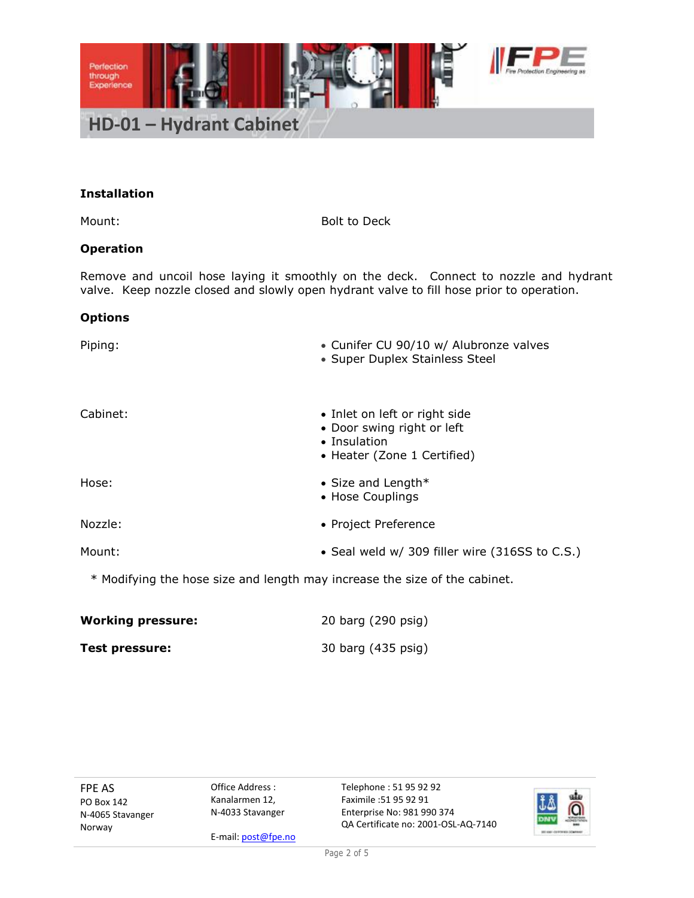

#### **Installation**

Mount: Bolt to Deck

#### **Operation**

Remove and uncoil hose laying it smoothly on the deck. Connect to nozzle and hydrant valve. Keep nozzle closed and slowly open hydrant valve to fill hose prior to operation.

#### **Options**

| Piping:  | • Cunifer CU 90/10 w/ Alubronze valves<br>• Super Duplex Stainless Steel                                   |
|----------|------------------------------------------------------------------------------------------------------------|
| Cabinet: | • Inlet on left or right side<br>• Door swing right or left<br>• Insulation<br>• Heater (Zone 1 Certified) |
| Hose:    | • Size and Length $*$<br>• Hose Couplings                                                                  |
| Nozzle:  | • Project Preference                                                                                       |
| Mount:   | • Seal weld w/ 309 filler wire (316SS to C.S.)                                                             |
|          |                                                                                                            |

\* Modifying the hose size and length may increase the size of the cabinet.

| <b>Working pressure:</b> | 20 barg (290 psig) |
|--------------------------|--------------------|
| <b>Test pressure:</b>    | 30 barg (435 psig) |

FPE AS PO Box 142 N-4065 Stavanger Norway

Office Address : Kanalarmen 12, N-4033 Stavanger

E-mail: post@fpe.no

Telephone : 51 95 92 92 Faximile :51 95 92 91 Enterprise No: 981 990 374 QA Certificate no: 2001-OSL-AQ-7140

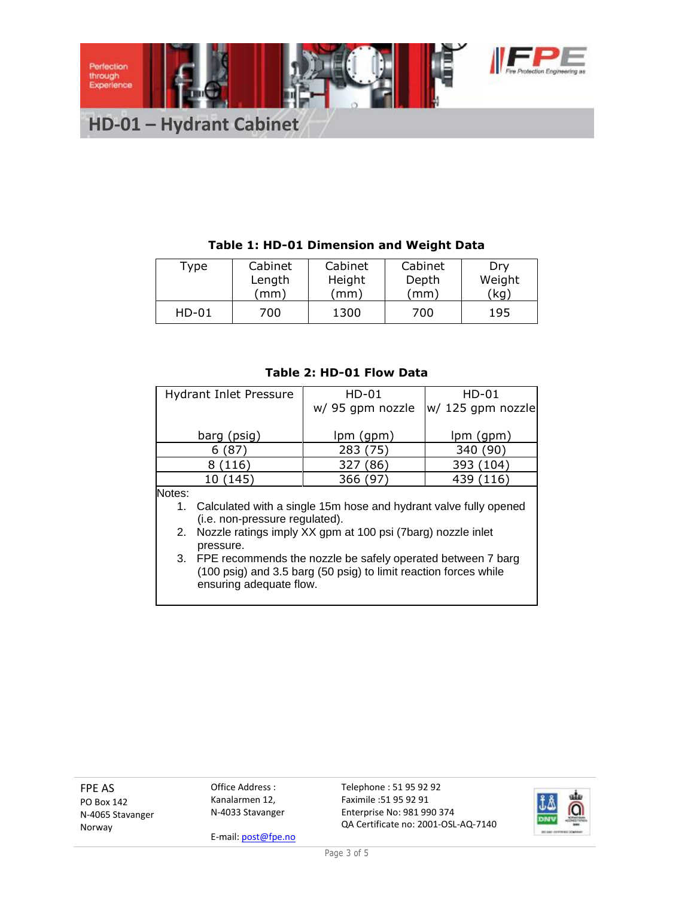

|  | Table 1: HD-01 Dimension and Weight Data |  |
|--|------------------------------------------|--|
|--|------------------------------------------|--|

| Type    | Cabinet | Cabinet | Cabinet | Drv    |
|---------|---------|---------|---------|--------|
|         | Length  | Height  | Depth   | Weight |
|         | (mm`    | (mm)    | (mm)    | (kg)   |
| $HD-01$ | 700     | 1300    | 700     | 195    |

### **Table 2: HD-01 Flow Data**

|        | <b>Hydrant Inlet Pressure</b>  | HD-01                                                               | $HD-01$           |
|--------|--------------------------------|---------------------------------------------------------------------|-------------------|
|        |                                | w/ 95 gpm nozzle                                                    | w/ 125 gpm nozzle |
|        |                                |                                                                     |                   |
|        | barg (psig)                    | lpm (gpm)                                                           | lpm (gpm)         |
|        | 6(87)                          | 283 (75)                                                            | 340 (90)          |
|        | 8(116)                         | 327 (86)                                                            | 393 (104)         |
|        | 10 (145)                       | 366 (97)                                                            | 439 (116)         |
| Notes: |                                |                                                                     |                   |
|        |                                | 1. Calculated with a single 15m hose and hydrant valve fully opened |                   |
|        | (i.e. non-pressure regulated). |                                                                     |                   |
| 2.     |                                | Nozzle ratings imply XX gpm at 100 psi (7barg) nozzle inlet         |                   |
|        | pressure.                      |                                                                     |                   |
|        |                                | 3. FPE recommends the nozzle be safely operated between 7 barg      |                   |
|        |                                | (100 psig) and 3.5 barg (50 psig) to limit reaction forces while    |                   |

FPE AS PO Box 142 N-4065 Stavanger Norway

Office Address : Kanalarmen 12, N-4033 Stavanger

ensuring adequate flow.

E-mail: post@fpe.no

Telephone : 51 95 92 92 Faximile :51 95 92 91 Enterprise No: 981 990 374 QA Certificate no: 2001-OSL-AQ-7140

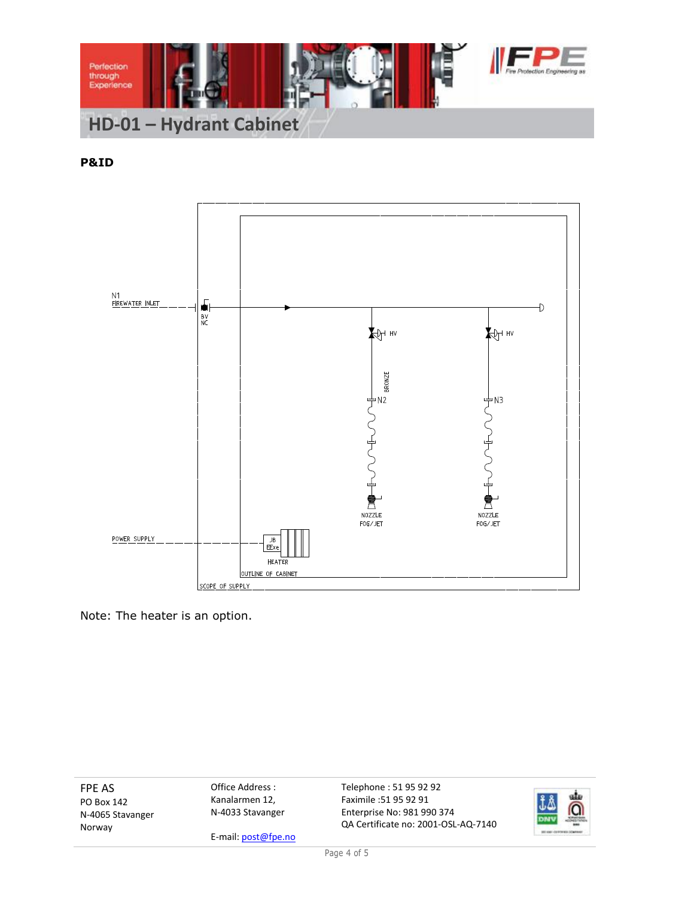

**P&ID**



Note: The heater is an option.

i.

| Office Address :<br><b>FPE AS</b><br>Kanalarmen 12,<br>PO Box 142<br>N-4033 Stavanger<br>N-4065 Stavanger<br>Norway<br>E-mail: $post@fpe.no$ | Telephone: 51 95 92 92<br>Faximile :51 95 92 91<br>Enterprise No: 981 990 374<br>QA Certificate no: 2001-OSL-AQ-7140 | ö |
|----------------------------------------------------------------------------------------------------------------------------------------------|----------------------------------------------------------------------------------------------------------------------|---|
|----------------------------------------------------------------------------------------------------------------------------------------------|----------------------------------------------------------------------------------------------------------------------|---|